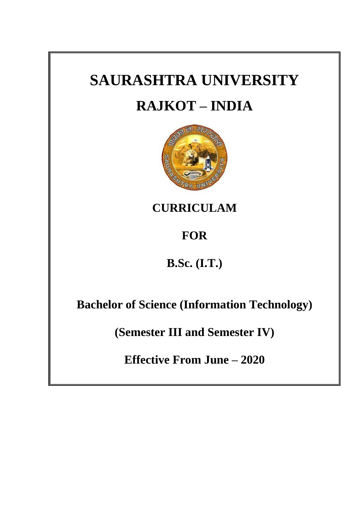# **SAURASHTRA UNIVERSITY RAJKOT – INDIA**



**CURRICULAM** 

## **FOR**

### **B.Sc. (I.T.)**

**Bachelor of Science (Information Technology)**

**(Semester III and Semester IV)**

**Effective From June – 2020**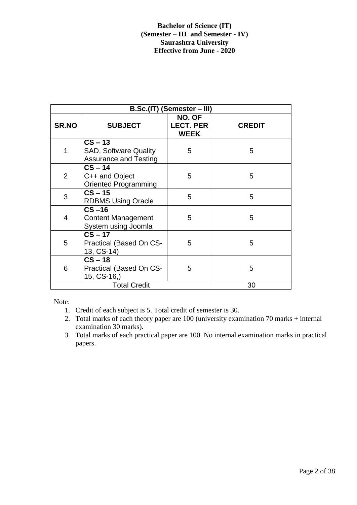| B.Sc.(IT) (Semester – III) |                                                                           |                                           |               |  |  |  |
|----------------------------|---------------------------------------------------------------------------|-------------------------------------------|---------------|--|--|--|
| <b>SR.NO</b>               | <b>SUBJECT</b>                                                            | NO. OF<br><b>LECT. PER</b><br><b>WEEK</b> | <b>CREDIT</b> |  |  |  |
| 1                          | $CS - 13$<br><b>SAD, Software Quality</b><br><b>Assurance and Testing</b> | 5                                         | 5             |  |  |  |
| $\overline{2}$             | $CS - 14$<br>C++ and Object<br><b>Oriented Programming</b>                | 5                                         | 5             |  |  |  |
| 3                          | $CS - 15$<br><b>RDBMS Using Oracle</b>                                    | 5                                         | 5             |  |  |  |
| 4                          | $CS - 16$<br><b>Content Management</b><br>System using Joomla             | 5                                         | 5             |  |  |  |
| 5                          | $CS - 17$<br>Practical (Based On CS-<br>13, CS-14)                        | 5                                         | 5             |  |  |  |
| 6                          | $CS - 18$<br>Practical (Based On CS-<br>15, CS-16,)                       | 5                                         | 5             |  |  |  |
|                            | <b>Total Credit</b>                                                       |                                           | 30            |  |  |  |

Note:

- 1. Credit of each subject is 5. Total credit of semester is 30.
- 2. Total marks of each theory paper are 100 (university examination 70 marks + internal examination 30 marks).
- 3. Total marks of each practical paper are 100. No internal examination marks in practical papers.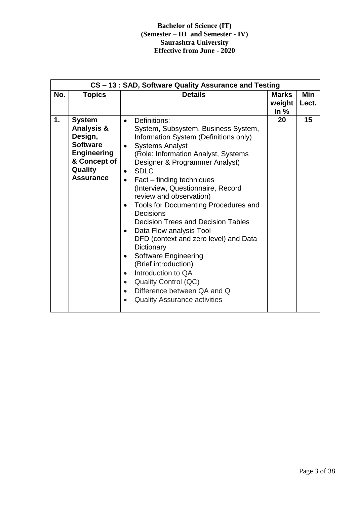|     | CS-13: SAD, Software Quality Assurance and Testing                                                                                        |                                                                                                                                                                                                                                                                                                                                                                                                                                                                                                                                                                                                                                                                                                                                                    |                                  |                     |  |  |
|-----|-------------------------------------------------------------------------------------------------------------------------------------------|----------------------------------------------------------------------------------------------------------------------------------------------------------------------------------------------------------------------------------------------------------------------------------------------------------------------------------------------------------------------------------------------------------------------------------------------------------------------------------------------------------------------------------------------------------------------------------------------------------------------------------------------------------------------------------------------------------------------------------------------------|----------------------------------|---------------------|--|--|
| No. | <b>Topics</b>                                                                                                                             | <b>Details</b>                                                                                                                                                                                                                                                                                                                                                                                                                                                                                                                                                                                                                                                                                                                                     | <b>Marks</b><br>weight<br>In $%$ | <b>Min</b><br>Lect. |  |  |
| 1.  | <b>System</b><br><b>Analysis &amp;</b><br>Design,<br><b>Software</b><br><b>Engineering</b><br>& Concept of<br>Quality<br><b>Assurance</b> | Definitions:<br>$\bullet$<br>System, Subsystem, Business System,<br>Information System (Definitions only)<br><b>Systems Analyst</b><br>$\bullet$<br>(Role: Information Analyst, Systems<br>Designer & Programmer Analyst)<br><b>SDLC</b><br>Fact – finding techniques<br>$\bullet$<br>(Interview, Questionnaire, Record<br>review and observation)<br>Tools for Documenting Procedures and<br>Decisions<br><b>Decision Trees and Decision Tables</b><br>Data Flow analysis Tool<br>DFD (context and zero level) and Data<br>Dictionary<br><b>Software Engineering</b><br>(Brief introduction)<br>Introduction to QA<br><b>Quality Control (QC)</b><br>$\bullet$<br>Difference between QA and Q<br>$\bullet$<br><b>Quality Assurance activities</b> | 20                               | 15                  |  |  |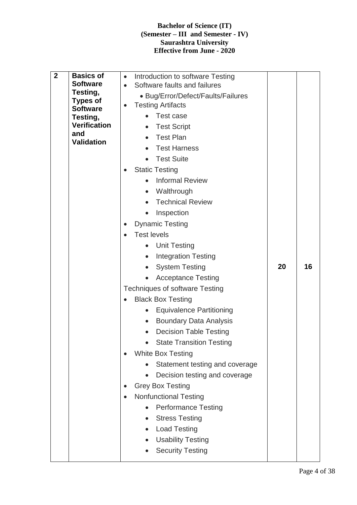| $\mathbf{2}$<br><b>Basics of</b><br>Introduction to software Testing<br>$\bullet$<br><b>Software</b><br>Software faults and failures<br>$\bullet$<br>Testing,<br>• Bug/Error/Defect/Faults/Failures<br><b>Types of</b><br><b>Testing Artifacts</b><br>$\bullet$<br><b>Software</b><br>Test case<br>Testing,<br><b>Verification</b><br><b>Test Script</b><br>and<br><b>Test Plan</b><br><b>Validation</b><br><b>Test Harness</b><br><b>Test Suite</b><br><b>Static Testing</b><br><b>Informal Review</b><br>Walthrough<br><b>Technical Review</b><br>Inspection<br><b>Dynamic Testing</b><br>$\bullet$<br><b>Test levels</b><br>$\bullet$<br><b>Unit Testing</b><br><b>Integration Testing</b><br>20<br><b>System Testing</b><br><b>Acceptance Testing</b><br><b>Techniques of software Testing</b><br><b>Black Box Testing</b><br><b>Equivalence Partitioning</b><br><b>Boundary Data Analysis</b><br>$\bullet$<br><b>Decision Table Testing</b><br><b>State Transition Testing</b><br><b>White Box Testing</b><br>Statement testing and coverage<br>Decision testing and coverage<br><b>Grey Box Testing</b><br><b>Nonfunctional Testing</b><br>$\bullet$<br><b>Performance Testing</b><br><b>Stress Testing</b><br><b>Load Testing</b><br><b>Usability Testing</b><br><b>Security Testing</b> | 16 |  |  |
|-------------------------------------------------------------------------------------------------------------------------------------------------------------------------------------------------------------------------------------------------------------------------------------------------------------------------------------------------------------------------------------------------------------------------------------------------------------------------------------------------------------------------------------------------------------------------------------------------------------------------------------------------------------------------------------------------------------------------------------------------------------------------------------------------------------------------------------------------------------------------------------------------------------------------------------------------------------------------------------------------------------------------------------------------------------------------------------------------------------------------------------------------------------------------------------------------------------------------------------------------------------------------------------------------|----|--|--|
|-------------------------------------------------------------------------------------------------------------------------------------------------------------------------------------------------------------------------------------------------------------------------------------------------------------------------------------------------------------------------------------------------------------------------------------------------------------------------------------------------------------------------------------------------------------------------------------------------------------------------------------------------------------------------------------------------------------------------------------------------------------------------------------------------------------------------------------------------------------------------------------------------------------------------------------------------------------------------------------------------------------------------------------------------------------------------------------------------------------------------------------------------------------------------------------------------------------------------------------------------------------------------------------------------|----|--|--|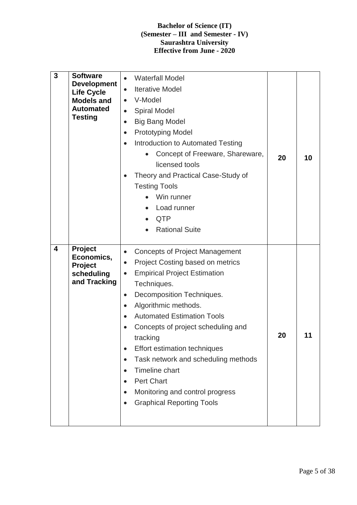| 3 | <b>Software</b><br><b>Development</b><br><b>Life Cycle</b><br><b>Models and</b><br><b>Automated</b><br><b>Testing</b> | <b>Waterfall Model</b><br><b>Iterative Model</b><br>$\bullet$<br>V-Model<br>$\bullet$<br><b>Spiral Model</b><br>$\bullet$<br><b>Big Bang Model</b><br>$\bullet$<br><b>Prototyping Model</b><br>$\bullet$<br>Introduction to Automated Testing<br>$\bullet$<br>Concept of Freeware, Shareware,<br>licensed tools<br>Theory and Practical Case-Study of<br><b>Testing Tools</b><br>Win runner<br>Load runner<br><b>QTP</b><br><b>Rational Suite</b>                                                                                 | 20 | 10 |
|---|-----------------------------------------------------------------------------------------------------------------------|-----------------------------------------------------------------------------------------------------------------------------------------------------------------------------------------------------------------------------------------------------------------------------------------------------------------------------------------------------------------------------------------------------------------------------------------------------------------------------------------------------------------------------------|----|----|
| 4 | Project<br>Economics,<br>Project<br>scheduling<br>and Tracking                                                        | <b>Concepts of Project Management</b><br>$\bullet$<br>Project Costing based on metrics<br><b>Empirical Project Estimation</b><br>$\bullet$<br>Techniques.<br>Decomposition Techniques.<br>$\bullet$<br>Algorithmic methods.<br><b>Automated Estimation Tools</b><br>Concepts of project scheduling and<br>tracking<br>Effort estimation techniques<br>$\bullet$<br>Task network and scheduling methods<br>$\bullet$<br>Timeline chart<br><b>Pert Chart</b><br>Monitoring and control progress<br><b>Graphical Reporting Tools</b> | 20 | 11 |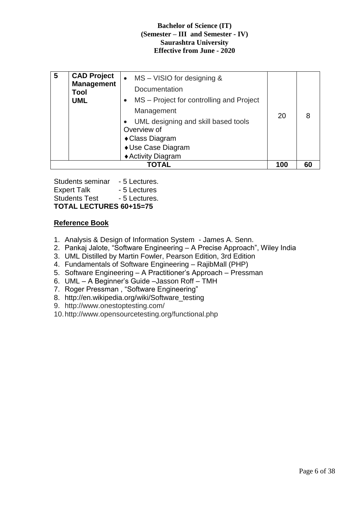| 5 | <b>CAD Project</b><br><b>Management</b><br>Tool<br><b>UML</b> | $MS - VISIO$ for designing $&$<br>$\bullet$<br>Documentation<br>MS – Project for controlling and Project<br>Management<br>UML designing and skill based tools<br>Overview of<br>◆ Class Diagram<br>◆ Use Case Diagram<br>◆ Activity Diagram | 20  |    |
|---|---------------------------------------------------------------|---------------------------------------------------------------------------------------------------------------------------------------------------------------------------------------------------------------------------------------------|-----|----|
|   |                                                               | TOTAL                                                                                                                                                                                                                                       | 100 | 60 |

Students seminar - 5 Lectures. Expert Talk - 5 Lectures Students Test - 5 Lectures. **TOTAL LECTURES 60+15=75**

#### **Reference Book**

- 1. Analysis & Design of Information System James A. Senn.
- 2. Pankaj Jalote, "Software Engineering A Precise Approach", Wiley India
- 3. UML Distilled by Martin Fowler, Pearson Edition, 3rd Edition
- 4. Fundamentals of Software Engineering RajibMall (PHP)
- 5. Software Engineering A Practitioner's Approach Pressman
- 6. UML A Beginner's Guide –Jasson Roff TMH
- 7. Roger Pressman , "Software Engineering"
- 8. http://en.wikipedia.org/wiki/Software\_testing
- 9. http://www.onestoptesting.com/
- 10.http://www.opensourcetesting.org/functional.php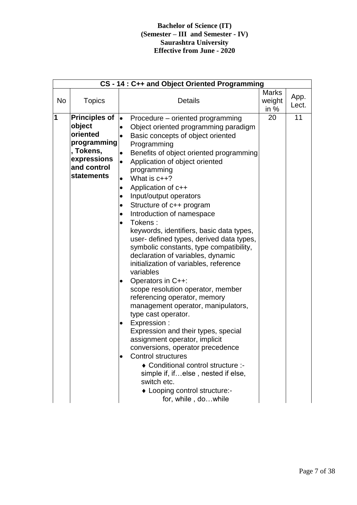|           | CS-14: C++ and Object Oriented Programming                                                                                |                                                                                                                                                                                                                                                                                                                                                                                                                                                                                                                                                                                                                                                                                                                                                                                                                                                                                                                                                                                                                                                                                                                                                                                                         |                                  |               |  |
|-----------|---------------------------------------------------------------------------------------------------------------------------|---------------------------------------------------------------------------------------------------------------------------------------------------------------------------------------------------------------------------------------------------------------------------------------------------------------------------------------------------------------------------------------------------------------------------------------------------------------------------------------------------------------------------------------------------------------------------------------------------------------------------------------------------------------------------------------------------------------------------------------------------------------------------------------------------------------------------------------------------------------------------------------------------------------------------------------------------------------------------------------------------------------------------------------------------------------------------------------------------------------------------------------------------------------------------------------------------------|----------------------------------|---------------|--|
| <b>No</b> | <b>Topics</b>                                                                                                             | <b>Details</b>                                                                                                                                                                                                                                                                                                                                                                                                                                                                                                                                                                                                                                                                                                                                                                                                                                                                                                                                                                                                                                                                                                                                                                                          | <b>Marks</b><br>weight<br>in $%$ | App.<br>Lect. |  |
| 1         | <b>Principles of</b><br>object<br>oriented<br>programming<br>, Tokens,<br>expressions<br>and control<br><b>statements</b> | $\bullet$<br>Procedure – oriented programming<br>Object oriented programming paradigm<br>$\bullet$<br>Basic concepts of object oriented<br>$\bullet$<br>Programming<br>Benefits of object oriented programming<br>$\bullet$<br>Application of object oriented<br>$\bullet$<br>programming<br>What is c++?<br>$\bullet$<br>Application of c++<br>$\bullet$<br>Input/output operators<br>$\bullet$<br>Structure of c++ program<br>$\bullet$<br>Introduction of namespace<br>$\bullet$<br>Tokens:<br>$\bullet$<br>keywords, identifiers, basic data types,<br>user- defined types, derived data types,<br>symbolic constants, type compatibility,<br>declaration of variables, dynamic<br>initialization of variables, reference<br>variables<br>Operators in C++:<br>٠<br>scope resolution operator, member<br>referencing operator, memory<br>management operator, manipulators,<br>type cast operator.<br>Expression:<br>$\bullet$<br>Expression and their types, special<br>assignment operator, implicit<br>conversions, operator precedence<br><b>Control structures</b><br>♦ Conditional control structure :-<br>simple if, ifelse, nested if else,<br>switch etc.<br>• Looping control structure:- | 20                               | 11            |  |
|           |                                                                                                                           | for, while, dowhile                                                                                                                                                                                                                                                                                                                                                                                                                                                                                                                                                                                                                                                                                                                                                                                                                                                                                                                                                                                                                                                                                                                                                                                     |                                  |               |  |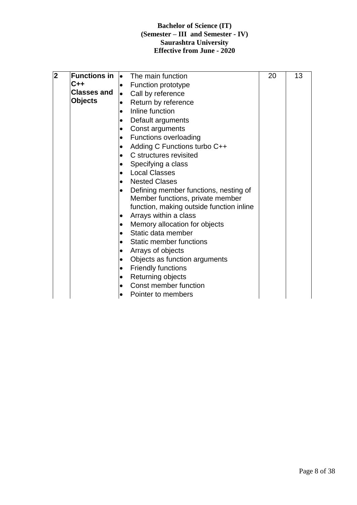| $\overline{\mathbf{2}}$ | Functions in $\vert \bullet \vert$ |           | The main function                        | 20 | 13 |
|-------------------------|------------------------------------|-----------|------------------------------------------|----|----|
|                         | C++                                | $\bullet$ | Function prototype                       |    |    |
|                         | <b>Classes and</b>                 | $\bullet$ | Call by reference                        |    |    |
|                         | <b>Objects</b>                     | $\bullet$ | Return by reference                      |    |    |
|                         |                                    | $\bullet$ | Inline function                          |    |    |
|                         |                                    | $\bullet$ | Default arguments                        |    |    |
|                         |                                    | $\bullet$ | Const arguments                          |    |    |
|                         |                                    | $\bullet$ | <b>Functions overloading</b>             |    |    |
|                         |                                    | $\bullet$ | Adding C Functions turbo C++             |    |    |
|                         |                                    | $\bullet$ | C structures revisited                   |    |    |
|                         |                                    | $\bullet$ | Specifying a class                       |    |    |
|                         |                                    | $\bullet$ | <b>Local Classes</b>                     |    |    |
|                         |                                    | $\bullet$ | <b>Nested Clases</b>                     |    |    |
|                         |                                    | $\bullet$ | Defining member functions, nesting of    |    |    |
|                         |                                    |           | Member functions, private member         |    |    |
|                         |                                    |           | function, making outside function inline |    |    |
|                         |                                    | ٠         | Arrays within a class                    |    |    |
|                         |                                    | $\bullet$ | Memory allocation for objects            |    |    |
|                         |                                    | $\bullet$ | Static data member                       |    |    |
|                         |                                    | $\bullet$ | Static member functions                  |    |    |
|                         |                                    | $\bullet$ | Arrays of objects                        |    |    |
|                         |                                    | $\bullet$ | Objects as function arguments            |    |    |
|                         |                                    | $\bullet$ | <b>Friendly functions</b>                |    |    |
|                         |                                    | $\bullet$ | Returning objects                        |    |    |
|                         |                                    | $\bullet$ | Const member function                    |    |    |
|                         |                                    | $\bullet$ | Pointer to members                       |    |    |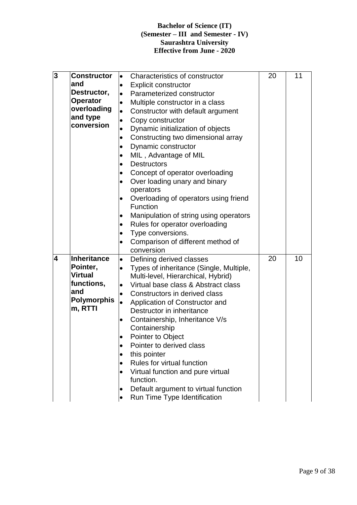| $\overline{\mathbf{3}}$ | <b>Constructor</b>            | $\bullet$ | Characteristics of constructor          | 20 | 11 |
|-------------------------|-------------------------------|-----------|-----------------------------------------|----|----|
|                         | and                           | $\bullet$ | <b>Explicit constructor</b>             |    |    |
|                         | Destructor,                   | $\bullet$ | Parameterized constructor               |    |    |
|                         | <b>Operator</b>               | $\bullet$ | Multiple constructor in a class         |    |    |
|                         | overloading                   | $\bullet$ | Constructor with default argument       |    |    |
|                         | and type                      | $\bullet$ | Copy constructor                        |    |    |
|                         | conversion                    | $\bullet$ | Dynamic initialization of objects       |    |    |
|                         |                               | $\bullet$ | Constructing two dimensional array      |    |    |
|                         |                               | $\bullet$ | Dynamic constructor                     |    |    |
|                         |                               | $\bullet$ | MIL, Advantage of MIL                   |    |    |
|                         |                               | $\bullet$ | <b>Destructors</b>                      |    |    |
|                         |                               | $\bullet$ | Concept of operator overloading         |    |    |
|                         |                               | $\bullet$ | Over loading unary and binary           |    |    |
|                         |                               |           | operators                               |    |    |
|                         |                               | $\bullet$ | Overloading of operators using friend   |    |    |
|                         |                               |           | <b>Function</b>                         |    |    |
|                         |                               | $\bullet$ | Manipulation of string using operators  |    |    |
|                         |                               | $\bullet$ | Rules for operator overloading          |    |    |
|                         |                               | $\bullet$ | Type conversions.                       |    |    |
|                         |                               | $\bullet$ | Comparison of different method of       |    |    |
|                         |                               |           | conversion                              |    |    |
| $\overline{\mathbf{4}}$ | Inheritance                   | $\bullet$ | Defining derived classes                | 20 | 10 |
|                         | Pointer,                      | $\bullet$ | Types of inheritance (Single, Multiple, |    |    |
|                         | <b>Virtual</b>                |           | Multi-level, Hierarchical, Hybrid)      |    |    |
|                         | functions,                    | $\bullet$ | Virtual base class & Abstract class     |    |    |
|                         | and                           | $\bullet$ | Constructors in derived class           |    |    |
|                         | <b>Polymorphis</b><br>m, RTTI | $\bullet$ | Application of Constructor and          |    |    |
|                         |                               |           | Destructor in inheritance               |    |    |
|                         |                               | $\bullet$ | Containership, Inheritance V/s          |    |    |
|                         |                               |           | Containership                           |    |    |
|                         |                               |           | Pointer to Object                       |    |    |
|                         |                               | $\bullet$ | Pointer to derived class                |    |    |
|                         |                               | $\bullet$ | this pointer                            |    |    |
|                         |                               | $\bullet$ | Rules for virtual function              |    |    |
|                         |                               |           | Virtual function and pure virtual       |    |    |
|                         |                               |           | function.                               |    |    |
|                         |                               | ٠         | Default argument to virtual function    |    |    |
|                         |                               |           | Run Time Type Identification            |    |    |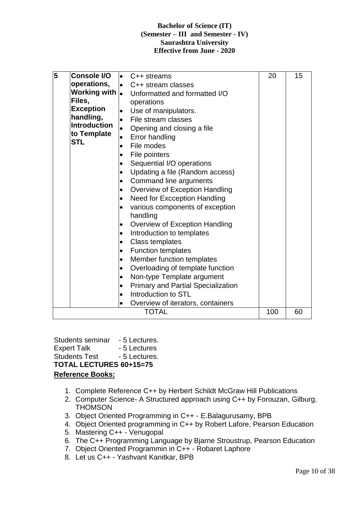| 5 | <b>Console I/O</b>             |           | $\bullet$ C++ streams                     | 20  | 15 |
|---|--------------------------------|-----------|-------------------------------------------|-----|----|
|   | operations,                    |           | • C++ stream classes                      |     |    |
|   | Working with $\vert_{\bullet}$ |           | Unformatted and formatted I/O             |     |    |
|   | Files,                         |           | operations                                |     |    |
|   | <b>Exception</b>               | $\bullet$ | Use of manipulators.                      |     |    |
|   | handling,                      | $\bullet$ | File stream classes                       |     |    |
|   | <b>Introduction</b>            | $\bullet$ | Opening and closing a file                |     |    |
|   | to Template                    | $\bullet$ | <b>Error handling</b>                     |     |    |
|   | <b>STL</b>                     | $\bullet$ | File modes                                |     |    |
|   |                                | ٠         | File pointers                             |     |    |
|   |                                | ٠         | Sequential I/O operations                 |     |    |
|   |                                | $\bullet$ | Updating a file (Random access)           |     |    |
|   |                                | ٠         | Command line arguments                    |     |    |
|   |                                | $\bullet$ | Overview of Exception Handling            |     |    |
|   |                                | $\bullet$ | <b>Need for Excception Handling</b>       |     |    |
|   |                                | $\bullet$ | various components of exception           |     |    |
|   |                                |           | handling                                  |     |    |
|   |                                | $\bullet$ | Overview of Exception Handling            |     |    |
|   |                                | $\bullet$ | Introduction to templates                 |     |    |
|   |                                | $\bullet$ | <b>Class templates</b>                    |     |    |
|   |                                | $\bullet$ | <b>Function templates</b>                 |     |    |
|   |                                | $\bullet$ | Member function templates                 |     |    |
|   |                                | $\bullet$ | Overloading of template function          |     |    |
|   |                                | $\bullet$ | Non-type Template argument                |     |    |
|   |                                | $\bullet$ | <b>Primary and Partial Specialization</b> |     |    |
|   |                                | $\bullet$ | Introduction to STL                       |     |    |
|   |                                | $\bullet$ | Overview of iterators, containers         |     |    |
|   |                                |           | <b>TOTAL</b>                              | 100 | 60 |

Students seminar - 5 Lectures. Expert Talk - 5 Lectures Students Test - 5 Lectures. **TOTAL LECTURES 60+15=75 Reference Books:**

- 1. Complete Reference C++ by Herbert Schildt McGraw Hill Publications
- 2. Computer Science- A Structured approach using C++ by Forouzan, Gilburg, **THOMSON**
- 3. Object Oriented Programming in C++ E.Balagurusamy, BPB
- 4. Object Oriented programming in C++ by Robert Lafore, Pearson Education
- 5. Mastering C++ Venugopal
- 6. The C++ Programming Language by Bjarne Stroustrup, Pearson Education
- 7. Object Oriented Programmin in C++ Robaret Laphore
- 8. Let us C++ Yashvant Kanitkar, BPB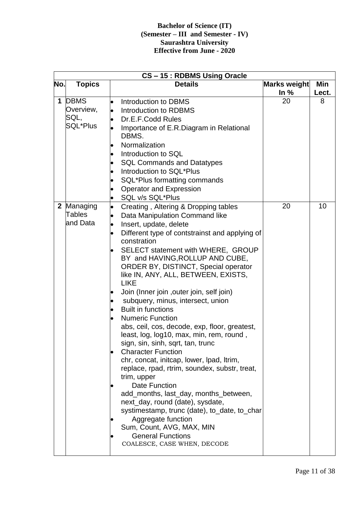|             | CS-15: RDBMS Using Oracle |                                                                       |              |       |  |  |
|-------------|---------------------------|-----------------------------------------------------------------------|--------------|-------|--|--|
| No.         | <b>Topics</b>             | <b>Details</b>                                                        | Marks weight | Min   |  |  |
|             |                           |                                                                       | In $%$       | Lect. |  |  |
| $\mathbf 1$ | <b>DBMS</b><br>Overview,  | Introduction to DBMS<br>Introduction to RDBMS                         | 20           | 8     |  |  |
|             | SQL,                      | Dr.E.F.Codd Rules                                                     |              |       |  |  |
|             | <b>SQL*Plus</b>           | Importance of E.R.Diagram in Relational                               |              |       |  |  |
|             |                           | DBMS.                                                                 |              |       |  |  |
|             |                           | Normalization                                                         |              |       |  |  |
|             |                           | Introduction to SQL                                                   |              |       |  |  |
|             |                           | <b>SQL Commands and Datatypes</b>                                     |              |       |  |  |
|             |                           | Introduction to SQL*Plus                                              |              |       |  |  |
|             |                           | SQL*Plus formatting commands                                          |              |       |  |  |
|             |                           | <b>Operator and Expression</b>                                        |              |       |  |  |
|             |                           | SQL v/s SQL*Plus                                                      |              |       |  |  |
|             | 2 Managing                | Creating, Altering & Dropping tables                                  | 20           | 10    |  |  |
|             | <b>Tables</b>             | Data Manipulation Command like                                        |              |       |  |  |
|             | and Data                  | Insert, update, delete                                                |              |       |  |  |
|             |                           | Different type of contstrainst and applying of                        |              |       |  |  |
|             |                           | constration                                                           |              |       |  |  |
|             |                           | SELECT statement with WHERE, GROUP<br>BY and HAVING, ROLLUP AND CUBE, |              |       |  |  |
|             |                           | <b>ORDER BY, DISTINCT, Special operator</b>                           |              |       |  |  |
|             |                           | like IN, ANY, ALL, BETWEEN, EXISTS,                                   |              |       |  |  |
|             |                           | <b>LIKE</b>                                                           |              |       |  |  |
|             |                           | Join (Inner join, outer join, self join)                              |              |       |  |  |
|             |                           | subquery, minus, intersect, union                                     |              |       |  |  |
|             |                           | <b>Built in functions</b>                                             |              |       |  |  |
|             |                           | <b>Numeric Function</b>                                               |              |       |  |  |
|             |                           | abs, ceil, cos, decode, exp, floor, greatest,                         |              |       |  |  |
|             |                           | least, log, log10, max, min, rem, round,                              |              |       |  |  |
|             |                           | sign, sin, sinh, sqrt, tan, trunc                                     |              |       |  |  |
|             |                           | <b>Character Function</b>                                             |              |       |  |  |
|             |                           | chr, concat, initcap, lower, lpad, ltrim,                             |              |       |  |  |
|             |                           | replace, rpad, rtrim, soundex, substr, treat,                         |              |       |  |  |
|             |                           | trim, upper                                                           |              |       |  |  |
|             |                           | Date Function                                                         |              |       |  |  |
|             |                           | add_months, last_day, months_between,                                 |              |       |  |  |
|             |                           | next_day, round (date), sysdate,                                      |              |       |  |  |
|             |                           | systimestamp, trunc (date), to_date, to_char                          |              |       |  |  |
|             |                           | Aggregate function                                                    |              |       |  |  |
|             |                           | Sum, Count, AVG, MAX, MIN                                             |              |       |  |  |
|             |                           | <b>General Functions</b><br>COALESCE, CASE WHEN, DECODE               |              |       |  |  |
|             |                           |                                                                       |              |       |  |  |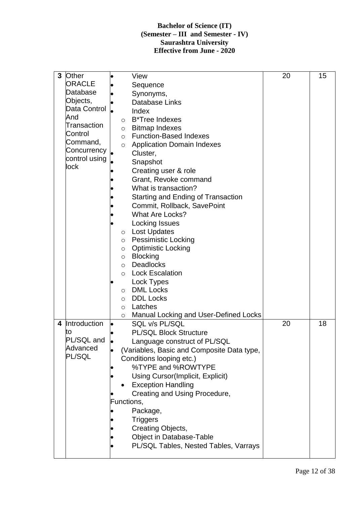| 3 | <b>Other</b>  |           | View                                         | 20 | 15 |
|---|---------------|-----------|----------------------------------------------|----|----|
|   | <b>ORACLE</b> |           |                                              |    |    |
|   |               |           | Sequence                                     |    |    |
|   | Database      |           | Synonyms,                                    |    |    |
|   | Objects,      |           | <b>Database Links</b>                        |    |    |
|   | Data Control  |           | Index                                        |    |    |
|   | And           |           |                                              |    |    |
|   | Transaction   |           | <b>B*Tree Indexes</b><br>$\circ$             |    |    |
|   |               |           | <b>Bitmap Indexes</b><br>$\circ$             |    |    |
|   | Control       |           | <b>Function-Based Indexes</b><br>$\circ$     |    |    |
|   | Command,      |           | <b>Application Domain Indexes</b><br>$\circ$ |    |    |
|   | Concurrency   |           | Cluster,                                     |    |    |
|   | control using |           | Snapshot                                     |    |    |
|   | lock          |           |                                              |    |    |
|   |               |           | Creating user & role                         |    |    |
|   |               |           | Grant, Revoke command                        |    |    |
|   |               |           | What is transaction?                         |    |    |
|   |               |           | Starting and Ending of Transaction           |    |    |
|   |               |           | Commit, Rollback, SavePoint                  |    |    |
|   |               |           |                                              |    |    |
|   |               |           | <b>What Are Locks?</b>                       |    |    |
|   |               |           | Locking Issues                               |    |    |
|   |               |           | o Lost Updates                               |    |    |
|   |               |           | o Pessimistic Locking                        |    |    |
|   |               |           | o Optimistic Locking                         |    |    |
|   |               |           | o Blocking                                   |    |    |
|   |               |           |                                              |    |    |
|   |               |           | <b>Deadlocks</b><br>$\circ$                  |    |    |
|   |               |           | <b>Lock Escalation</b><br>$\circ$            |    |    |
|   |               |           | Lock Types                                   |    |    |
|   |               |           | <b>DML Locks</b><br>$\circ$                  |    |    |
|   |               |           | <b>DDL Locks</b><br>$\circ$                  |    |    |
|   |               |           | Latches<br>$\circ$                           |    |    |
|   |               |           | Manual Locking and User-Defined Locks        |    |    |
|   |               |           | $\circ$                                      |    |    |
| 4 | Introduction  | $\bullet$ | SQL v/s PL/SQL                               | 20 | 18 |
|   | to            |           | <b>PL/SQL Block Structure</b>                |    |    |
|   | PL/SQL and    |           | Language construct of PL/SQL                 |    |    |
|   | Advanced      |           | (Variables, Basic and Composite Data type,   |    |    |
|   | PL/SQL        |           | Conditions looping etc.)                     |    |    |
|   |               |           | %TYPE and %ROWTYPE                           |    |    |
|   |               |           |                                              |    |    |
|   |               |           | Using Cursor(Implicit, Explicit)             |    |    |
|   |               |           | <b>Exception Handling</b>                    |    |    |
|   |               |           | Creating and Using Procedure,                |    |    |
|   |               |           | Functions,                                   |    |    |
|   |               |           | Package,                                     |    |    |
|   |               |           |                                              |    |    |
|   |               |           | <b>Triggers</b>                              |    |    |
|   |               |           | Creating Objects,                            |    |    |
|   |               |           | Object in Database-Table                     |    |    |
|   |               |           | PL/SQL Tables, Nested Tables, Varrays        |    |    |
|   |               |           |                                              |    |    |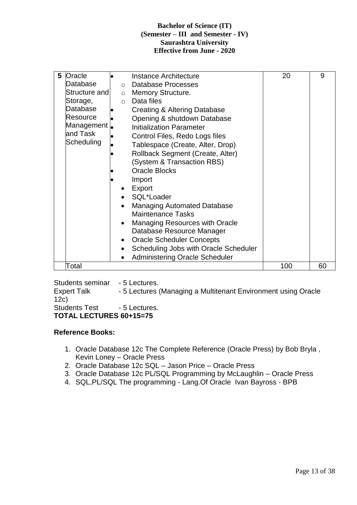| Oracle<br>5<br>Database<br>$\circ$ | Instance Architecture<br>Database Processes | 20  | 9  |
|------------------------------------|---------------------------------------------|-----|----|
| Structure and                      | o Memory Structure.                         |     |    |
| Storage,<br>$\circ$                | Data files                                  |     |    |
| Database                           | Creating & Altering Database                |     |    |
| Resource                           | Opening & shutdown Database                 |     |    |
| Management                         | <b>Initialization Parameter</b>             |     |    |
| and Task                           | Control Files, Redo Logs files              |     |    |
| Scheduling                         | Tablespace (Create, Alter, Drop)            |     |    |
|                                    | Rollback Segment (Create, Alter)            |     |    |
|                                    | (System & Transaction RBS)                  |     |    |
|                                    | <b>Oracle Blocks</b>                        |     |    |
|                                    | Import                                      |     |    |
|                                    | Export                                      |     |    |
|                                    | SQL*Loader                                  |     |    |
|                                    | <b>Managing Automated Database</b>          |     |    |
|                                    | <b>Maintenance Tasks</b>                    |     |    |
|                                    | <b>Managing Resources with Oracle</b>       |     |    |
|                                    | Database Resource Manager                   |     |    |
|                                    | <b>Oracle Scheduler Concepts</b>            |     |    |
| $\bullet$                          | Scheduling Jobs with Oracle Scheduler       |     |    |
|                                    | <b>Administering Oracle Scheduler</b>       |     |    |
| Total                              |                                             | 100 | 60 |

Students seminar - 5 Lectures. Expert Talk - 5 Lectures (Managing a Multitenant Environment using Oracle 12c) Students Test - 5 Lectures. **TOTAL LECTURES 60+15=75**

#### **Reference Books:**

- 1. Oracle Database 12c The Complete Reference (Oracle Press) by Bob Bryla , Kevin Loney – Oracle Press
- 2. Oracle Database 12c SQL Jason Price Oracle Press
- 3. Oracle Database 12c PL/SQL Programming by McLaughlin Oracle Press
- 4. SQL,PL/SQL The programming Lang.Of Oracle Ivan Bayross BPB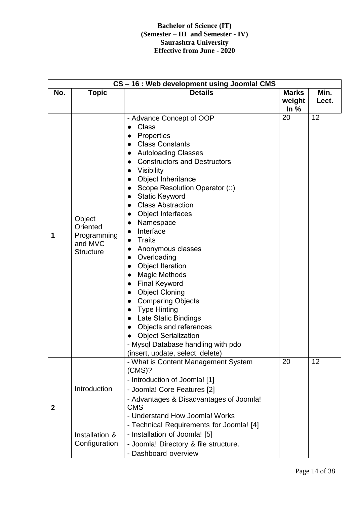|                  | CS-16: Web development using Joomla! CMS                         |                                                                                                                                                                                                                                                                                                                                                                                                                                                                                                                                                                                                                                                                                                                            |                  |       |  |
|------------------|------------------------------------------------------------------|----------------------------------------------------------------------------------------------------------------------------------------------------------------------------------------------------------------------------------------------------------------------------------------------------------------------------------------------------------------------------------------------------------------------------------------------------------------------------------------------------------------------------------------------------------------------------------------------------------------------------------------------------------------------------------------------------------------------------|------------------|-------|--|
| No.              | <b>Topic</b>                                                     | <b>Details</b>                                                                                                                                                                                                                                                                                                                                                                                                                                                                                                                                                                                                                                                                                                             | <b>Marks</b>     | Min.  |  |
|                  |                                                                  |                                                                                                                                                                                                                                                                                                                                                                                                                                                                                                                                                                                                                                                                                                                            | weight<br>In $%$ | Lect. |  |
| 1                | Object<br>Oriented<br>Programming<br>and MVC<br><b>Structure</b> | - Advance Concept of OOP<br><b>Class</b><br>Properties<br><b>Class Constants</b><br><b>Autoloading Classes</b><br><b>Constructors and Destructors</b><br><b>Visibility</b><br>Object Inheritance<br>Scope Resolution Operator (::)<br><b>Static Keyword</b><br><b>Class Abstraction</b><br>Object Interfaces<br>Namespace<br>Interface<br>$\bullet$<br><b>Traits</b><br>Anonymous classes<br>Overloading<br><b>Object Iteration</b><br><b>Magic Methods</b><br><b>Final Keyword</b><br><b>Object Cloning</b><br><b>Comparing Objects</b><br><b>Type Hinting</b><br>Late Static Bindings<br>Objects and references<br><b>Object Serialization</b><br>- Mysql Database handling with pdo<br>(insert, update, select, delete) | 20               | 12    |  |
| $\boldsymbol{2}$ | Introduction                                                     | - What is Content Management System<br>(CMS)?<br>- Introduction of Joomla! [1]<br>- Joomla! Core Features [2]<br>- Advantages & Disadvantages of Joomla!<br><b>CMS</b><br>- Understand How Joomla! Works                                                                                                                                                                                                                                                                                                                                                                                                                                                                                                                   | 20               | 12    |  |
|                  | Installation &<br>Configuration                                  | - Technical Requirements for Joomla! [4]<br>- Installation of Joomla! [5]<br>- Joomla! Directory & file structure.<br>- Dashboard overview                                                                                                                                                                                                                                                                                                                                                                                                                                                                                                                                                                                 |                  |       |  |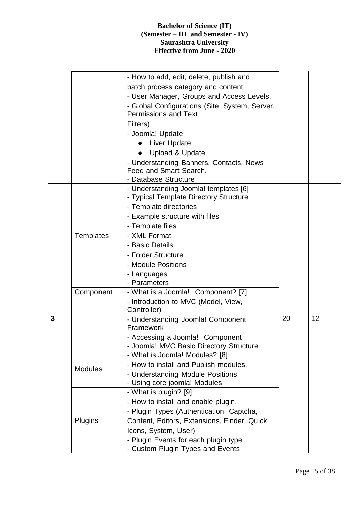|   |                | - How to add, edit, delete, publish and                                  |    |    |
|---|----------------|--------------------------------------------------------------------------|----|----|
|   |                | batch process category and content.                                      |    |    |
|   |                | - User Manager, Groups and Access Levels.                                |    |    |
|   |                | - Global Configurations (Site, System, Server,                           |    |    |
|   |                | <b>Permissions and Text</b>                                              |    |    |
|   |                | Filters)                                                                 |    |    |
|   |                | - Joomla! Update                                                         |    |    |
|   |                | <b>Liver Update</b>                                                      |    |    |
|   |                | <b>Upload &amp; Update</b><br>$\bullet$                                  |    |    |
|   |                | - Understanding Banners, Contacts, News                                  |    |    |
|   |                | Feed and Smart Search.                                                   |    |    |
|   |                | - Database Structure                                                     |    |    |
|   |                | - Understanding Joomla! templates [6]                                    |    |    |
|   |                | - Typical Template Directory Structure                                   |    |    |
|   |                | - Template directories                                                   |    |    |
|   |                | - Example structure with files                                           |    |    |
|   |                | - Template files                                                         |    |    |
|   | Templates      | - XML Format                                                             |    |    |
|   |                | - Basic Details                                                          |    |    |
|   |                | - Folder Structure                                                       |    |    |
|   |                | - Module Positions                                                       |    |    |
|   |                | - Languages                                                              |    |    |
|   |                | - Parameters                                                             |    |    |
|   | Component      | - What is a Joomla! Component? [7]                                       |    |    |
|   |                | - Introduction to MVC (Model, View,<br>Controller)                       |    |    |
| 3 |                | - Understanding Joomla! Component                                        | 20 | 12 |
|   |                | Framework                                                                |    |    |
|   |                | - Accessing a Joomla! Component                                          |    |    |
|   |                | - Joomla! MVC Basic Directory Structure                                  |    |    |
|   |                | - What is Joomla! Modules? [8]                                           |    |    |
|   | <b>Modules</b> | - How to install and Publish modules.                                    |    |    |
|   |                | - Understanding Module Positions.                                        |    |    |
|   |                | - Using core joomla! Modules.<br>- What is plugin? [9]                   |    |    |
|   |                | - How to install and enable plugin.                                      |    |    |
|   |                | - Plugin Types (Authentication, Captcha,                                 |    |    |
|   | Plugins        |                                                                          |    |    |
|   |                | Content, Editors, Extensions, Finder, Quick                              |    |    |
|   |                | Icons, System, User)                                                     |    |    |
|   |                | - Plugin Events for each plugin type<br>- Custom Plugin Types and Events |    |    |
|   |                |                                                                          |    |    |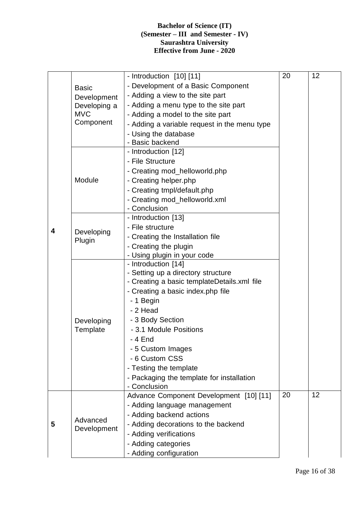|        |                                          | - Introduction [10] [11]                     | 20 | 12 |
|--------|------------------------------------------|----------------------------------------------|----|----|
|        | <b>Basic</b>                             | - Development of a Basic Component           |    |    |
|        | Development                              | - Adding a view to the site part             |    |    |
|        | Developing a                             | - Adding a menu type to the site part        |    |    |
|        | <b>MVC</b>                               | - Adding a model to the site part            |    |    |
|        | Component                                | - Adding a variable request in the menu type |    |    |
| 4<br>5 |                                          | - Using the database                         |    |    |
|        |                                          | - Basic backend                              |    |    |
|        |                                          | - Introduction [12]                          |    |    |
|        |                                          | - File Structure                             |    |    |
|        |                                          | - Creating mod_helloworld.php                |    |    |
|        | Module                                   | - Creating helper.php                        |    |    |
|        |                                          | - Creating tmpl/default.php                  |    |    |
|        |                                          | - Creating mod_helloworld.xml                |    |    |
|        |                                          | - Conclusion                                 |    |    |
|        | - File structure<br>Developing<br>Plugin | - Introduction [13]                          |    |    |
|        |                                          |                                              |    |    |
|        |                                          | - Creating the Installation file             |    |    |
|        |                                          | - Creating the plugin                        |    |    |
|        |                                          | - Using plugin in your code                  |    |    |
|        | Developing                               | - Introduction [14]                          |    |    |
|        |                                          | - Setting up a directory structure           |    |    |
|        |                                          | - Creating a basic templateDetails.xml file  |    |    |
|        |                                          | - Creating a basic index.php file            |    |    |
|        |                                          | - 1 Begin                                    |    |    |
|        |                                          | - 2 Head                                     |    |    |
|        |                                          | - 3 Body Section                             |    |    |
|        | Template                                 | - 3.1 Module Positions                       |    |    |
|        |                                          | - 4 End                                      |    |    |
|        |                                          | - 5 Custom Images                            |    |    |
|        |                                          | - 6 Custom CSS                               |    |    |
|        |                                          | - Testing the template                       |    |    |
|        |                                          | - Packaging the template for installation    |    |    |
|        |                                          | - Conclusion                                 |    |    |
|        |                                          | Advance Component Development [10] [11]      | 20 | 12 |
|        |                                          | - Adding language management                 |    |    |
|        | Advanced                                 | - Adding backend actions                     |    |    |
|        | Development                              | - Adding decorations to the backend          |    |    |
|        |                                          | - Adding verifications                       |    |    |
|        |                                          | - Adding categories                          |    |    |
|        |                                          | - Adding configuration                       |    |    |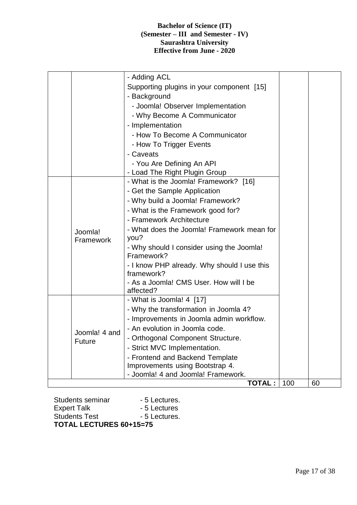|  |               | - Adding ACL                                        |     |    |
|--|---------------|-----------------------------------------------------|-----|----|
|  |               | Supporting plugins in your component [15]           |     |    |
|  |               | - Background                                        |     |    |
|  |               | - Joomla! Observer Implementation                   |     |    |
|  |               | - Why Become A Communicator                         |     |    |
|  |               | - Implementation                                    |     |    |
|  |               | - How To Become A Communicator                      |     |    |
|  |               | - How To Trigger Events                             |     |    |
|  |               | - Caveats                                           |     |    |
|  |               | - You Are Defining An API                           |     |    |
|  |               | - Load The Right Plugin Group                       |     |    |
|  |               | - What is the Joomla! Framework? [16]               |     |    |
|  |               | - Get the Sample Application                        |     |    |
|  |               | - Why build a Joomla! Framework?                    |     |    |
|  | Joomla!       | - What is the Framework good for?                   |     |    |
|  |               | - Framework Architecture                            |     |    |
|  |               | - What does the Joomla! Framework mean for          |     |    |
|  | Framework     | you?                                                |     |    |
|  |               | - Why should I consider using the Joomla!           |     |    |
|  |               | Framework?                                          |     |    |
|  |               | - I know PHP already. Why should I use this         |     |    |
|  |               | framework?                                          |     |    |
|  |               | - As a Joomla! CMS User. How will I be<br>affected? |     |    |
|  |               | - What is Joomla! 4 [17]                            |     |    |
|  |               | - Why the transformation in Joomla 4?               |     |    |
|  |               | - Improvements in Joomla admin workflow.            |     |    |
|  |               | - An evolution in Joomla code.                      |     |    |
|  | Joomla! 4 and | - Orthogonal Component Structure                    |     |    |
|  | <b>Future</b> | - Strict MVC Implementation.                        |     |    |
|  |               | - Frontend and Backend Template                     |     |    |
|  |               | Improvements using Bootstrap 4.                     |     |    |
|  |               | - Joomla! 4 and Joomla! Framework.                  |     |    |
|  |               | <b>TOTAL:</b>                                       | 100 | 60 |

Students seminar - 5 Lectures. Expert Talk - 5 Lectures Students Test **- 5 Lectures**. **TOTAL LECTURES 60+15=75**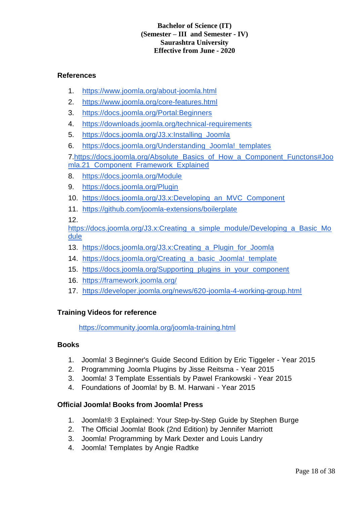#### **References**

- 1. https://www.joomla.org/about-joomla.html
- 2. https://www.joomla.org/core-features.html
- 3. https://docs.joomla.org/Portal:Beginners
- 4. https://downloads.joomla.org/technical-requirements
- 5. https://docs.joomla.org/J3.x:Installing\_Joomla
- 6. https://docs.joomla.org/Understanding\_Joomla!\_templates

7.https://docs.joomla.org/Absolute\_Basics\_of\_How\_a\_Component\_Functons#Joo mla.21\_Component\_Framework\_Explained

- 8. https://docs.joomla.org/Module
- 9. https://docs.joomla.org/Plugin
- 10. https://docs.joomla.org/J3.x:Developing\_an\_MVC\_Component
- 11. https://github.com/joomla-extensions/boilerplate

12.

https://docs.joomla.org/J3.x:Creating\_a\_simple\_module/Developing\_a\_Basic\_Mo dule

- 13. https://docs.joomla.org/J3.x:Creating a Plugin for Joomla
- 14. https://docs.joomla.org/Creating\_a\_basic\_Joomla!\_template
- 15. https://docs.joomla.org/Supporting\_plugins\_in\_your\_component
- 16. https://framework.joomla.org/
- 17. https://developer.joomla.org/news/620-joomla-4-working-group.html

#### **Training Videos for reference**

https://community.joomla.org/joomla-training.html

#### **Books**

- 1. Joomla! 3 Beginner's Guide Second Edition by Eric Tiggeler Year 2015
- 2. Programming Joomla Plugins by Jisse Reitsma Year 2015
- 3. Joomla! 3 Template Essentials by Pawel Frankowski Year 2015
- 4. Foundations of Joomla! by B. M. Harwani Year 2015

#### **Official Joomla! Books from Joomla! Press**

- 1. Joomla!® 3 Explained: Your Step-by-Step Guide by Stephen Burge
- 2. The Official Joomla! Book (2nd Edition) by Jennifer Marriott
- 3. Joomla! Programming by Mark Dexter and Louis Landry
- 4. Joomla! Templates by Angie Radtke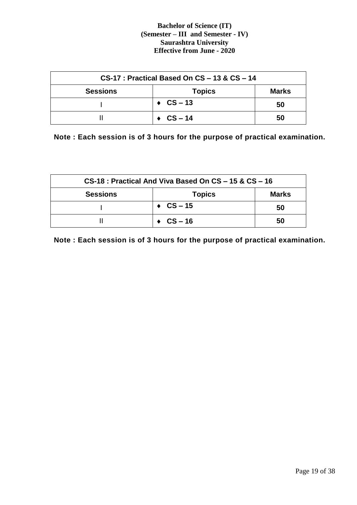| $CS-17$ : Practical Based On $CS - 13$ & $CS - 14$ |                         |              |  |  |
|----------------------------------------------------|-------------------------|--------------|--|--|
| <b>Sessions</b>                                    | <b>Topics</b>           | <b>Marks</b> |  |  |
|                                                    | $\triangleleft$ CS – 13 | 50           |  |  |
|                                                    | $\triangleleft$ CS – 14 | 50           |  |  |

**Note : Each session is of 3 hours for the purpose of practical examination.**

| CS-18 : Practical And Viva Based On CS - 15 & CS - 16 |                         |              |  |  |
|-------------------------------------------------------|-------------------------|--------------|--|--|
| <b>Sessions</b>                                       | <b>Topics</b>           | <b>Marks</b> |  |  |
|                                                       | $\triangleleft$ CS – 15 | 50           |  |  |
|                                                       | $\triangle$ CS – 16     | 50           |  |  |

**Note : Each session is of 3 hours for the purpose of practical examination.**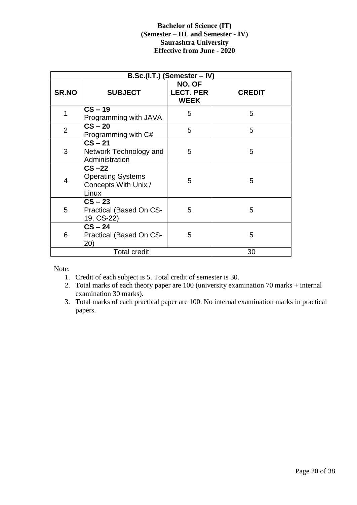|                | B.Sc.(I.T.) (Semester - IV)                                           |                                           |               |  |  |
|----------------|-----------------------------------------------------------------------|-------------------------------------------|---------------|--|--|
| <b>SR.NO</b>   | <b>SUBJECT</b>                                                        | NO. OF<br><b>LECT. PER</b><br><b>WEEK</b> | <b>CREDIT</b> |  |  |
| 1              | $CS - 19$<br>Programming with JAVA                                    | 5                                         | 5             |  |  |
| $\overline{2}$ | $CS - 20$<br>Programming with C#                                      | 5                                         | 5             |  |  |
| 3              | $CS - 21$<br>Network Technology and<br>Administration                 | 5                                         | 5             |  |  |
| $\overline{4}$ | $CS -22$<br><b>Operating Systems</b><br>Concepts With Unix /<br>Linux | 5                                         | 5             |  |  |
| 5              | $CS - 23$<br>Practical (Based On CS-<br>19, CS-22)                    | 5                                         | 5             |  |  |
| 6              | $CS - 24$<br>Practical (Based On CS-<br>(20)                          | 5                                         | 5             |  |  |
|                | <b>Total credit</b>                                                   |                                           | 30            |  |  |

Note:

- 1. Credit of each subject is 5. Total credit of semester is 30.
- 2. Total marks of each theory paper are 100 (university examination 70 marks + internal examination 30 marks).
- 3. Total marks of each practical paper are 100. No internal examination marks in practical papers.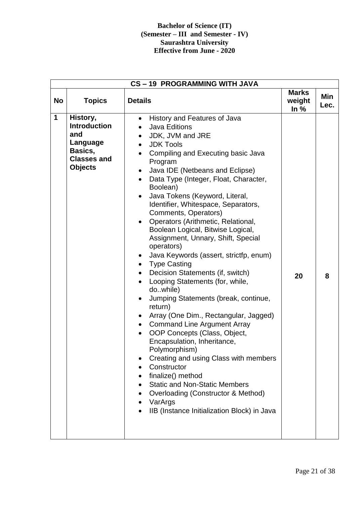|              | CS-19 PROGRAMMING WITH JAVA                                                                           |                                                                                                                                                                                                                                                                                                                                                                                                                                                                                                                                                                                                                                                                                                                                                                                                                                                                                                                                                                                                                                                                                                                                                                                                                              |                                  |             |  |
|--------------|-------------------------------------------------------------------------------------------------------|------------------------------------------------------------------------------------------------------------------------------------------------------------------------------------------------------------------------------------------------------------------------------------------------------------------------------------------------------------------------------------------------------------------------------------------------------------------------------------------------------------------------------------------------------------------------------------------------------------------------------------------------------------------------------------------------------------------------------------------------------------------------------------------------------------------------------------------------------------------------------------------------------------------------------------------------------------------------------------------------------------------------------------------------------------------------------------------------------------------------------------------------------------------------------------------------------------------------------|----------------------------------|-------------|--|
| <b>No</b>    | <b>Topics</b>                                                                                         | <b>Details</b>                                                                                                                                                                                                                                                                                                                                                                                                                                                                                                                                                                                                                                                                                                                                                                                                                                                                                                                                                                                                                                                                                                                                                                                                               | <b>Marks</b><br>weight<br>In $%$ | Min<br>Lec. |  |
| $\mathbf{1}$ | History,<br><b>Introduction</b><br>and<br>Language<br>Basics,<br><b>Classes and</b><br><b>Objects</b> | History and Features of Java<br>$\bullet$<br><b>Java Editions</b><br>JDK, JVM and JRE<br><b>JDK Tools</b><br>$\bullet$<br>Compiling and Executing basic Java<br>Program<br>Java IDE (Netbeans and Eclipse)<br>$\bullet$<br>Data Type (Integer, Float, Character,<br>$\bullet$<br>Boolean)<br>Java Tokens (Keyword, Literal,<br>$\bullet$<br>Identifier, Whitespace, Separators,<br>Comments, Operators)<br>Operators (Arithmetic, Relational,<br>$\bullet$<br>Boolean Logical, Bitwise Logical,<br>Assignment, Unnary, Shift, Special<br>operators)<br>Java Keywords (assert, strictfp, enum)<br>$\bullet$<br><b>Type Casting</b><br>$\bullet$<br>Decision Statements (if, switch)<br>$\bullet$<br>Looping Statements (for, while,<br>dowhile)<br>Jumping Statements (break, continue,<br>$\bullet$<br>return)<br>Array (One Dim., Rectangular, Jagged)<br>$\bullet$<br><b>Command Line Argument Array</b><br>$\bullet$<br>OOP Concepts (Class, Object,<br>Encapsulation, Inheritance,<br>Polymorphism)<br>Creating and using Class with members<br>Constructor<br>finalize() method<br><b>Static and Non-Static Members</b><br>Overloading (Constructor & Method)<br>VarArgs<br>IIB (Instance Initialization Block) in Java | 20                               | 8           |  |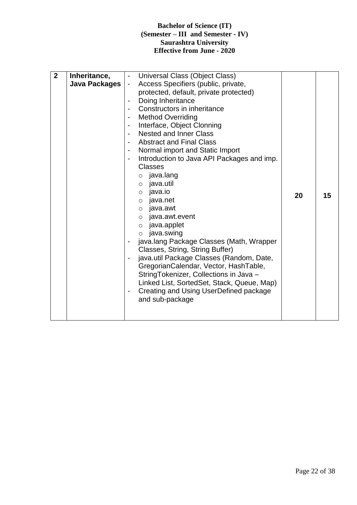| $\overline{2}$<br>Universal Class (Object Class)<br>Inheritance,<br>$\overline{\phantom{a}}$<br>Java Packages<br>Access Specifiers (public, private,<br>$\blacksquare$<br>protected, default, private protected)<br>Doing Inheritance<br>$\overline{\phantom{a}}$<br>Constructors in inheritance<br><b>Method Overriding</b><br>$\blacksquare$<br>Interface, Object Clonning<br>$\overline{\phantom{a}}$<br><b>Nested and Inner Class</b><br><b>Abstract and Final Class</b><br>$\overline{\phantom{a}}$<br>Normal import and Static Import<br>$\blacksquare$<br>Introduction to Java API Packages and imp.<br>$\overline{\phantom{a}}$<br><b>Classes</b><br>$\circ$ java.lang<br>o java.util<br>java.io<br>$\circ$<br>20<br>$\circ$ java.net<br>o java.awt<br>$\circ$ java.awt.event<br>java.applet<br>$\circ$<br>java.swing<br>$\circ$<br>java.lang Package Classes (Math, Wrapper<br>Classes, String, String Buffer)<br>java.util Package Classes (Random, Date,<br>GregorianCalendar, Vector, HashTable,<br>StringTokenizer, Collections in Java -<br>Linked List, SortedSet, Stack, Queue, Map)<br>Creating and Using UserDefined package<br>۰<br>and sub-package | 15 |
|------------------------------------------------------------------------------------------------------------------------------------------------------------------------------------------------------------------------------------------------------------------------------------------------------------------------------------------------------------------------------------------------------------------------------------------------------------------------------------------------------------------------------------------------------------------------------------------------------------------------------------------------------------------------------------------------------------------------------------------------------------------------------------------------------------------------------------------------------------------------------------------------------------------------------------------------------------------------------------------------------------------------------------------------------------------------------------------------------------------------------------------------------------------------|----|
|------------------------------------------------------------------------------------------------------------------------------------------------------------------------------------------------------------------------------------------------------------------------------------------------------------------------------------------------------------------------------------------------------------------------------------------------------------------------------------------------------------------------------------------------------------------------------------------------------------------------------------------------------------------------------------------------------------------------------------------------------------------------------------------------------------------------------------------------------------------------------------------------------------------------------------------------------------------------------------------------------------------------------------------------------------------------------------------------------------------------------------------------------------------------|----|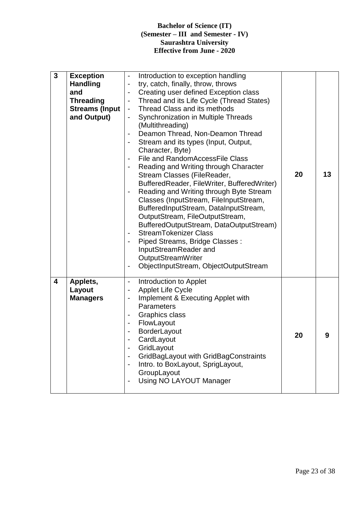| $\overline{\mathbf{3}}$ | <b>Exception</b><br><b>Handling</b><br>and<br><b>Threading</b><br><b>Streams (Input</b><br>and Output) | Introduction to exception handling<br>$\qquad \qquad \blacksquare$<br>try, catch, finally, throw, throws<br>$\qquad \qquad \blacksquare$<br>Creating user defined Exception class<br>$\overline{\phantom{0}}$<br>Thread and its Life Cycle (Thread States)<br>$\blacksquare$<br>Thread Class and its methods<br>$\qquad \qquad \blacksquare$<br>Synchronization in Multiple Threads<br>$\qquad \qquad \blacksquare$<br>(Multithreading)<br>Deamon Thread, Non-Deamon Thread<br>$\overline{a}$<br>Stream and its types (Input, Output,<br>$\overline{\phantom{a}}$<br>Character, Byte)<br>File and RandomAccessFile Class<br>$\overline{\phantom{a}}$<br>Reading and Writing through Character<br>Stream Classes (FileReader,<br>BufferedReader, FileWriter, BufferedWriter)<br>Reading and Writing through Byte Stream<br>$\blacksquare$<br>Classes (InputStream, FileInputStream,<br>BufferedInputStream, DataInputStream,<br>OutputStream, FileOutputStream,<br>BufferedOutputStream, DataOutputStream)<br><b>StreamTokenizer Class</b><br>$\overline{\phantom{a}}$<br>Piped Streams, Bridge Classes:<br>InputStreamReader and<br>OutputStreamWriter<br>ObjectInputStream, ObjectOutputStream<br>$\qquad \qquad \blacksquare$ | 20 | 13 |
|-------------------------|--------------------------------------------------------------------------------------------------------|---------------------------------------------------------------------------------------------------------------------------------------------------------------------------------------------------------------------------------------------------------------------------------------------------------------------------------------------------------------------------------------------------------------------------------------------------------------------------------------------------------------------------------------------------------------------------------------------------------------------------------------------------------------------------------------------------------------------------------------------------------------------------------------------------------------------------------------------------------------------------------------------------------------------------------------------------------------------------------------------------------------------------------------------------------------------------------------------------------------------------------------------------------------------------------------------------------------------------------|----|----|
| $\overline{\mathbf{4}}$ | Applets,<br>Layout<br><b>Managers</b>                                                                  | Introduction to Applet<br>$\overline{\phantom{a}}$<br><b>Applet Life Cycle</b><br>$\overline{\phantom{0}}$<br>Implement & Executing Applet with<br>$\qquad \qquad \blacksquare$<br><b>Parameters</b><br>Graphics class<br>$\overline{\phantom{a}}$<br>FlowLayout<br>$\overline{\phantom{a}}$<br>BorderLayout<br>CardLayout<br>GridLayout<br>$\overline{\phantom{0}}$<br>GridBagLayout with GridBagConstraints<br>$\overline{\phantom{a}}$<br>Intro. to BoxLayout, SprigLayout,<br>$\blacksquare$<br>GroupLayout<br>Using NO LAYOUT Manager<br>$\qquad \qquad \blacksquare$                                                                                                                                                                                                                                                                                                                                                                                                                                                                                                                                                                                                                                                      | 20 | 9  |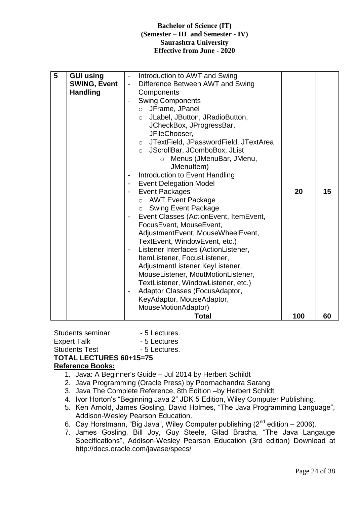| 5 | <b>GUI using</b><br><b>SWING, Event</b><br><b>Handling</b> | Introduction to AWT and Swing<br>$\overline{\phantom{a}}$<br>Difference Between AWT and Swing<br>$\overline{\phantom{a}}$<br>Components<br><b>Swing Components</b><br>o JFrame, JPanel<br>$\circ$ JLabel, JButton, JRadioButton,<br>JCheckBox, JProgressBar,<br>JFileChooser,<br>○ JTextField, JPasswordField, JTextArea<br>O JScrollBar, JComboBox, JList<br>o Menus (JMenuBar, JMenu,<br>JMenuItem)<br>Introduction to Event Handling<br>$\qquad \qquad \blacksquare$<br><b>Event Delegation Model</b><br><b>Event Packages</b><br>$\blacksquare$<br>o AWT Event Package<br><b>Swing Event Package</b><br>$\circ$<br>Event Classes (ActionEvent, ItemEvent,<br>FocusEvent, MouseEvent,<br>AdjustmentEvent, MouseWheelEvent,<br>TextEvent, WindowEvent, etc.)<br>Listener Interfaces (ActionListener,<br>$\qquad \qquad \blacksquare$ | 20  | 15 |
|---|------------------------------------------------------------|----------------------------------------------------------------------------------------------------------------------------------------------------------------------------------------------------------------------------------------------------------------------------------------------------------------------------------------------------------------------------------------------------------------------------------------------------------------------------------------------------------------------------------------------------------------------------------------------------------------------------------------------------------------------------------------------------------------------------------------------------------------------------------------------------------------------------------------|-----|----|
|   |                                                            | ItemListener, FocusListener,<br>AdjustmentListener KeyListener,<br>MouseListener, MoutMotionListener,<br>TextListener, WindowListener, etc.)<br>Adaptor Classes (FocusAdaptor,<br>$\overline{\phantom{0}}$<br>KeyAdaptor, MouseAdaptor,<br>MouseMotionAdaptor)<br><b>Total</b>                                                                                                                                                                                                                                                                                                                                                                                                                                                                                                                                                         | 100 | 60 |

Students seminar - 5 Lectures. Expert Talk - 5 Lectures Students Test - 5 Lectures. **TOTAL LECTURES 60+15=75**

#### **Reference Books:**

- 1. Java: A Beginner's Guide Jul 2014 by Herbert Schildt
- 2. Java Programming (Oracle Press) by Poornachandra Sarang
- 3. Java The Complete Reference, 8th Edition –by Herbert Schildt
- 4. Ivor Horton's "Beginning Java 2" JDK 5 Edition, Wiley Computer Publishing.
- 5. Ken Arnold, James Gosling, David Holmes, "The Java Programming Language", Addison-Wesley Pearson Education.
- 6. Cay Horstmann, "Big Java", Wiley Computer publishing  $(2^{nd}$  edition 2006).
- 7. James Gosling, Bill Joy, Guy Steele, Gilad Bracha, "The Java Langauge Specifications", Addison-Wesley Pearson Education (3rd edition) Download at http://docs.oracle.com/javase/specs/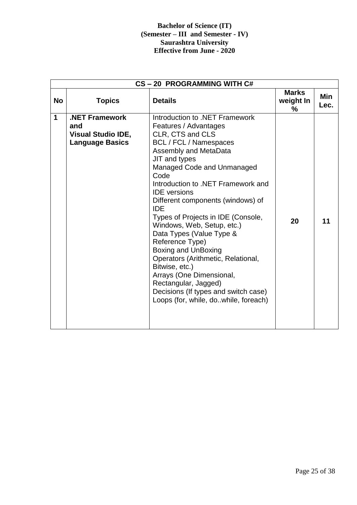|             | CS-20 PROGRAMMING WITH C#                                                           |                                                                                                                                                                                                                                                                                                                                                                                                                                                                                                                                                                                                                                                      |                                |             |  |  |  |
|-------------|-------------------------------------------------------------------------------------|------------------------------------------------------------------------------------------------------------------------------------------------------------------------------------------------------------------------------------------------------------------------------------------------------------------------------------------------------------------------------------------------------------------------------------------------------------------------------------------------------------------------------------------------------------------------------------------------------------------------------------------------------|--------------------------------|-------------|--|--|--|
| <b>No</b>   | <b>Topics</b>                                                                       | <b>Details</b>                                                                                                                                                                                                                                                                                                                                                                                                                                                                                                                                                                                                                                       | <b>Marks</b><br>weight In<br>% | Min<br>Lec. |  |  |  |
| $\mathbf 1$ | <b>.NET Framework</b><br>and<br><b>Visual Studio IDE,</b><br><b>Language Basics</b> | Introduction to .NET Framework<br>Features / Advantages<br>CLR, CTS and CLS<br><b>BCL / FCL / Namespaces</b><br>Assembly and MetaData<br>JIT and types<br>Managed Code and Unmanaged<br>Code<br>Introduction to .NET Framework and<br><b>IDE</b> versions<br>Different components (windows) of<br><b>IDE</b><br>Types of Projects in IDE (Console,<br>Windows, Web, Setup, etc.)<br>Data Types (Value Type &<br>Reference Type)<br>Boxing and UnBoxing<br>Operators (Arithmetic, Relational,<br>Bitwise, etc.)<br>Arrays (One Dimensional,<br>Rectangular, Jagged)<br>Decisions (If types and switch case)<br>Loops (for, while, do. while, foreach) | 20                             | 11          |  |  |  |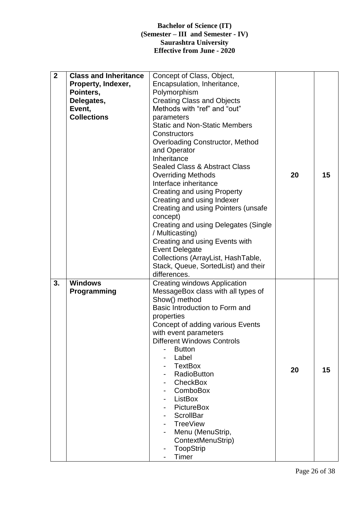| $\overline{2}$ | <b>Class and Inheritance</b><br>Property, Indexer,<br>Pointers,<br>Delegates,<br>Event,<br><b>Collections</b> | Concept of Class, Object,<br>Encapsulation, Inheritance,<br>Polymorphism<br><b>Creating Class and Objects</b><br>Methods with "ref" and "out"<br>parameters<br><b>Static and Non-Static Members</b><br>Constructors<br><b>Overloading Constructor, Method</b><br>and Operator<br>Inheritance<br><b>Sealed Class &amp; Abstract Class</b><br><b>Overriding Methods</b><br>Interface inheritance<br><b>Creating and using Property</b><br>Creating and using Indexer<br>Creating and using Pointers (unsafe<br>concept)<br>Creating and using Delegates (Single<br>/ Multicasting)<br>Creating and using Events with<br><b>Event Delegate</b><br>Collections (ArrayList, HashTable, | 20 | 15 |
|----------------|---------------------------------------------------------------------------------------------------------------|-----------------------------------------------------------------------------------------------------------------------------------------------------------------------------------------------------------------------------------------------------------------------------------------------------------------------------------------------------------------------------------------------------------------------------------------------------------------------------------------------------------------------------------------------------------------------------------------------------------------------------------------------------------------------------------|----|----|
| 3.             | <b>Windows</b>                                                                                                | Stack, Queue, SortedList) and their<br>differences.<br><b>Creating windows Application</b>                                                                                                                                                                                                                                                                                                                                                                                                                                                                                                                                                                                        |    |    |
|                | Programming                                                                                                   | MessageBox class with all types of<br>Show() method<br>Basic Introduction to Form and<br>properties<br>Concept of adding various Events<br>with event parameters<br><b>Different Windows Controls</b><br><b>Button</b><br>Label<br><b>TextBox</b><br><b>RadioButton</b><br>CheckBox<br>ComboBox<br>ListBox<br>PictureBox<br><b>ScrollBar</b><br><b>TreeView</b><br>Menu (MenuStrip,<br>ContextMenuStrip)<br><b>ToopStrip</b><br>Timer                                                                                                                                                                                                                                             | 20 | 15 |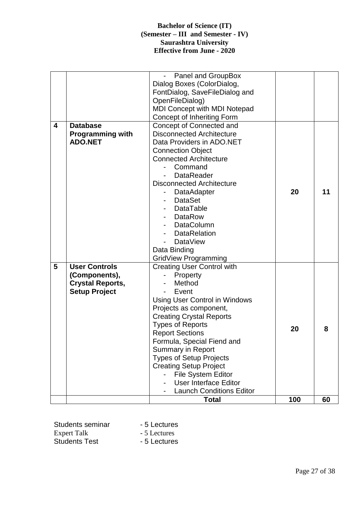|                         |                         | Panel and GroupBox<br>$\blacksquare$ |     |    |
|-------------------------|-------------------------|--------------------------------------|-----|----|
|                         |                         | Dialog Boxes (ColorDialog,           |     |    |
|                         |                         | FontDialog, SaveFileDialog and       |     |    |
|                         |                         | OpenFileDialog)                      |     |    |
|                         |                         | <b>MDI Concept with MDI Notepad</b>  |     |    |
|                         |                         | Concept of Inheriting Form           |     |    |
| $\overline{\mathbf{4}}$ | <b>Database</b>         | Concept of Connected and             |     |    |
|                         | <b>Programming with</b> | <b>Disconnected Architecture</b>     |     |    |
|                         | <b>ADO.NET</b>          | Data Providers in ADO.NET            |     |    |
|                         |                         | <b>Connection Object</b>             |     |    |
|                         |                         | <b>Connected Architecture</b>        |     |    |
|                         |                         | Command                              |     |    |
|                         |                         | <b>DataReader</b>                    |     |    |
|                         |                         | <b>Disconnected Architecture</b>     |     |    |
|                         |                         | <b>DataAdapter</b>                   | 20  | 11 |
|                         |                         | <b>DataSet</b>                       |     |    |
|                         |                         | <b>DataTable</b>                     |     |    |
|                         |                         | <b>DataRow</b>                       |     |    |
|                         |                         | <b>DataColumn</b>                    |     |    |
|                         |                         | <b>DataRelation</b>                  |     |    |
|                         |                         | <b>DataView</b>                      |     |    |
|                         |                         | Data Binding                         |     |    |
|                         |                         | <b>GridView Programming</b>          |     |    |
| 5                       | <b>User Controls</b>    | <b>Creating User Control with</b>    |     |    |
|                         | (Components),           | Property                             |     |    |
|                         | <b>Crystal Reports,</b> | Method                               |     |    |
|                         | <b>Setup Project</b>    | Event                                |     |    |
|                         |                         | <b>Using User Control in Windows</b> |     |    |
|                         |                         | Projects as component,               |     |    |
|                         |                         | <b>Creating Crystal Reports</b>      |     |    |
|                         |                         | <b>Types of Reports</b>              | 20  | 8  |
|                         |                         | <b>Report Sections</b>               |     |    |
|                         |                         | Formula, Special Fiend and           |     |    |
|                         |                         | <b>Summary in Report</b>             |     |    |
|                         |                         | <b>Types of Setup Projects</b>       |     |    |
|                         |                         | <b>Creating Setup Project</b>        |     |    |
|                         |                         | File System Editor                   |     |    |
|                         |                         | <b>User Interface Editor</b>         |     |    |
|                         |                         | <b>Launch Conditions Editor</b>      |     |    |
|                         |                         | <b>Total</b>                         | 100 | 60 |

| Students seminar     | - 5 Lectures |
|----------------------|--------------|
| <b>Expert Talk</b>   | - 5 Lectures |
| <b>Students Test</b> | - 5 Lectures |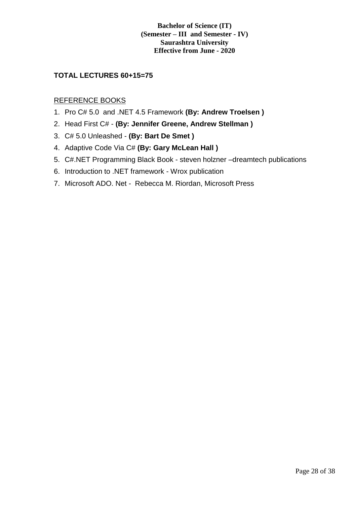#### **TOTAL LECTURES 60+15=75**

#### REFERENCE BOOKS

- 1. Pro C# 5.0 and .NET 4.5 Framework **(By: Andrew Troelsen )**
- 2. Head First C# **(By: Jennifer Greene, Andrew Stellman )**
- 3. C# 5.0 Unleashed **(By: Bart De Smet )**
- 4. Adaptive Code Via C# **(By: Gary McLean Hall )**
- 5. C#.NET Programming Black Book steven holzner –dreamtech publications
- 6. Introduction to .NET framework Wrox publication
- 7. Microsoft ADO. Net Rebecca M. Riordan, Microsoft Press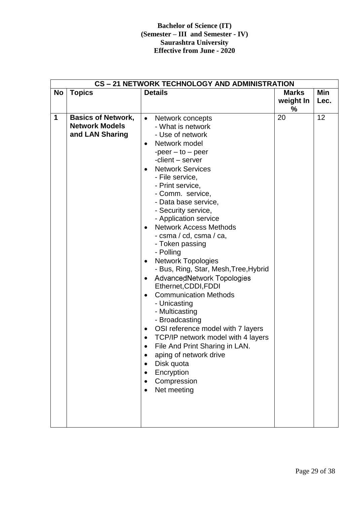|           | CS-21 NETWORK TECHNOLOGY AND ADMINISTRATION                           |                                                                                                                                                                                                                                                                                                                                                                                                                                                                                                                                                                                                                                                                                                                                                                                                                                                                                                  |                                |             |  |
|-----------|-----------------------------------------------------------------------|--------------------------------------------------------------------------------------------------------------------------------------------------------------------------------------------------------------------------------------------------------------------------------------------------------------------------------------------------------------------------------------------------------------------------------------------------------------------------------------------------------------------------------------------------------------------------------------------------------------------------------------------------------------------------------------------------------------------------------------------------------------------------------------------------------------------------------------------------------------------------------------------------|--------------------------------|-------------|--|
| <b>No</b> | <b>Topics</b>                                                         | <b>Details</b>                                                                                                                                                                                                                                                                                                                                                                                                                                                                                                                                                                                                                                                                                                                                                                                                                                                                                   | <b>Marks</b><br>weight In<br>℅ | Min<br>Lec. |  |
| 1         | <b>Basics of Network,</b><br><b>Network Models</b><br>and LAN Sharing | Network concepts<br>$\bullet$<br>- What is network<br>- Use of network<br>Network model<br>$-peer - to - peer$<br>-client - server<br><b>Network Services</b><br>- File service,<br>- Print service,<br>- Comm. service,<br>- Data base service,<br>- Security service,<br>- Application service<br><b>Network Access Methods</b><br>- csma / cd, csma / ca,<br>- Token passing<br>- Polling<br><b>Network Topologies</b><br>$\bullet$<br>- Bus, Ring, Star, Mesh, Tree, Hybrid<br>AdvancedNetwork Topologies<br>$\bullet$<br>Ethernet, CDDI, FDDI<br><b>Communication Methods</b><br>- Unicasting<br>- Multicasting<br>- Broadcasting<br>OSI reference model with 7 layers<br>٠<br>TCP/IP network model with 4 layers<br>$\bullet$<br>File And Print Sharing in LAN.<br>aping of network drive<br>$\bullet$<br>Disk quota<br>$\bullet$<br>Encryption<br>$\bullet$<br>Compression<br>Net meeting | 20                             | 12          |  |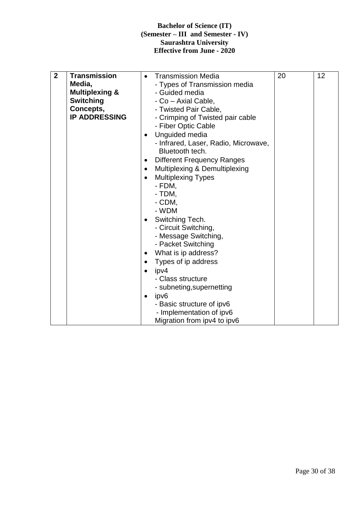| $\mathbf{2}$ | <b>Transmission</b><br>Media,<br><b>Multiplexing &amp;</b><br><b>Switching</b><br>Concepts,<br><b>IP ADDRESSING</b> | <b>Transmission Media</b><br>- Types of Transmission media<br>- Guided media<br>- Co - Axial Cable,<br>- Twisted Pair Cable,<br>- Crimping of Twisted pair cable<br>- Fiber Optic Cable<br>Unguided media<br>$\bullet$<br>- Infrared, Laser, Radio, Microwave,<br>Bluetooth tech.<br><b>Different Frequency Ranges</b><br>٠<br>Multiplexing & Demultiplexing<br><b>Multiplexing Types</b><br>- FDM,<br>- TDM,<br>- CDM,<br>- WDM<br>Switching Tech.<br>- Circuit Switching,<br>- Message Switching,<br>- Packet Switching<br>What is ip address?<br>٠<br>Types of ip address<br>ipv4<br>- Class structure<br>- subneting, supernetting<br>ipv6<br>$\bullet$<br>- Basic structure of ipv6<br>- Implementation of ipv6<br>Migration from ipv4 to ipv6 | 20 | 12 |
|--------------|---------------------------------------------------------------------------------------------------------------------|-----------------------------------------------------------------------------------------------------------------------------------------------------------------------------------------------------------------------------------------------------------------------------------------------------------------------------------------------------------------------------------------------------------------------------------------------------------------------------------------------------------------------------------------------------------------------------------------------------------------------------------------------------------------------------------------------------------------------------------------------------|----|----|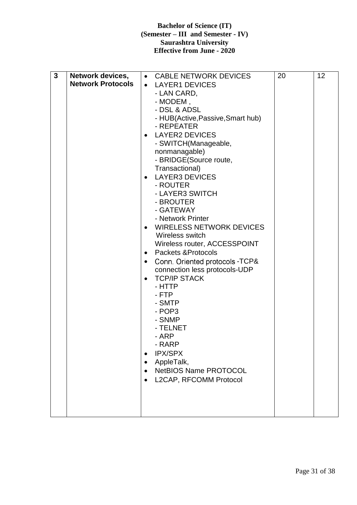| $\mathbf{3}$ | Network devices,<br><b>Network Protocols</b> | • CABLE NETWORK DEVICES<br><b>LAYER1 DEVICES</b><br>$\bullet$<br>- LAN CARD,<br>- MODEM,<br>- DSL & ADSL<br>- HUB(Active, Passive, Smart hub)<br>- REPEATER<br><b>LAYER2 DEVICES</b><br>- SWITCH(Manageable,<br>nonmanagable)<br>- BRIDGE(Source route,<br>Transactional)<br><b>LAYER3 DEVICES</b><br>- ROUTER<br>- LAYER3 SWITCH<br>- BROUTER<br>- GATEWAY<br>- Network Printer<br><b>WIRELESS NETWORK DEVICES</b><br>Wireless switch<br>Wireless router, ACCESSPOINT<br>Packets & Protocols<br>$\bullet$<br>Conn. Oriented protocols -TCP&<br>connection less protocols-UDP<br><b>TCP/IP STACK</b><br>- HTTP<br>- FTP<br>- SMTP<br>- POP3<br>- SNMP<br>- TELNET<br>- ARP<br>- RARP<br><b>IPX/SPX</b><br>$\bullet$<br>AppleTalk,<br>$\bullet$<br><b>NetBIOS Name PROTOCOL</b><br>$\bullet$<br>L2CAP, RFCOMM Protocol | 20 | 12 |
|--------------|----------------------------------------------|-----------------------------------------------------------------------------------------------------------------------------------------------------------------------------------------------------------------------------------------------------------------------------------------------------------------------------------------------------------------------------------------------------------------------------------------------------------------------------------------------------------------------------------------------------------------------------------------------------------------------------------------------------------------------------------------------------------------------------------------------------------------------------------------------------------------------|----|----|
|--------------|----------------------------------------------|-----------------------------------------------------------------------------------------------------------------------------------------------------------------------------------------------------------------------------------------------------------------------------------------------------------------------------------------------------------------------------------------------------------------------------------------------------------------------------------------------------------------------------------------------------------------------------------------------------------------------------------------------------------------------------------------------------------------------------------------------------------------------------------------------------------------------|----|----|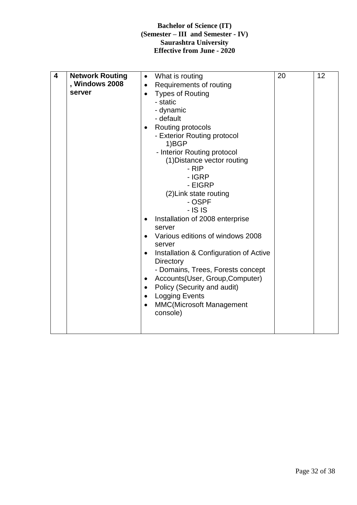| 4 | <b>Network Routing</b><br>, Windows 2008<br>server | What is routing<br>$\bullet$<br>Requirements of routing<br>$\bullet$<br><b>Types of Routing</b><br>- static<br>- dynamic<br>- default<br>Routing protocols<br>$\bullet$<br>- Exterior Routing protocol<br>1)BGP<br>- Interior Routing protocol<br>(1) Distance vector routing<br>- RIP<br>- IGRP<br>- EIGRP<br>(2) Link state routing<br>- OSPF<br>$  S S$<br>Installation of 2008 enterprise<br>server<br>Various editions of windows 2008<br>server<br>Installation & Configuration of Active<br>$\bullet$<br><b>Directory</b><br>- Domains, Trees, Forests concept<br>Accounts(User, Group, Computer)<br>$\bullet$<br>Policy (Security and audit)<br>$\bullet$<br><b>Logging Events</b><br>$\bullet$<br><b>MMC(Microsoft Management</b><br>$\bullet$<br>console) | 20 | 12 |
|---|----------------------------------------------------|---------------------------------------------------------------------------------------------------------------------------------------------------------------------------------------------------------------------------------------------------------------------------------------------------------------------------------------------------------------------------------------------------------------------------------------------------------------------------------------------------------------------------------------------------------------------------------------------------------------------------------------------------------------------------------------------------------------------------------------------------------------------|----|----|
|---|----------------------------------------------------|---------------------------------------------------------------------------------------------------------------------------------------------------------------------------------------------------------------------------------------------------------------------------------------------------------------------------------------------------------------------------------------------------------------------------------------------------------------------------------------------------------------------------------------------------------------------------------------------------------------------------------------------------------------------------------------------------------------------------------------------------------------------|----|----|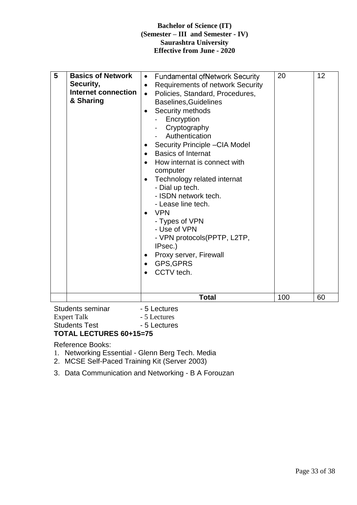| 5<br><b>Basics of Network</b><br>Security,<br>Internet connection<br>& Sharing | <b>Fundamental ofNetwork Security</b><br>$\bullet$<br><b>Requirements of network Security</b><br>$\bullet$<br>Policies, Standard, Procedures,<br>$\bullet$<br><b>Baselines, Guidelines</b><br>Security methods<br>Encryption<br>Cryptography<br>Authentication<br>Security Principle - CIA Model<br><b>Basics of Internat</b><br>$\bullet$<br>How internat is connect with<br>computer<br>Technology related internat<br>- Dial up tech.<br>- ISDN network tech.<br>- Lease line tech.<br><b>VPN</b><br>- Types of VPN<br>- Use of VPN<br>- VPN protocols (PPTP, L2TP,<br>IPsec.)<br>Proxy server, Firewall<br>GPS, GPRS<br>CCTV tech. | 20  | 12 |
|--------------------------------------------------------------------------------|----------------------------------------------------------------------------------------------------------------------------------------------------------------------------------------------------------------------------------------------------------------------------------------------------------------------------------------------------------------------------------------------------------------------------------------------------------------------------------------------------------------------------------------------------------------------------------------------------------------------------------------|-----|----|
|                                                                                | <b>Total</b>                                                                                                                                                                                                                                                                                                                                                                                                                                                                                                                                                                                                                           | 100 | 60 |

Students seminar - 5 Lectures Expert Talk - 5 Lectures Students Test - 5 Lectures

#### **TOTAL LECTURES 60+15=75**

Reference Books:

- 1. Networking Essential Glenn Berg Tech. Media
- 2. MCSE Self-Paced Training Kit (Server 2003)
- 3. Data Communication and Networking B A Forouzan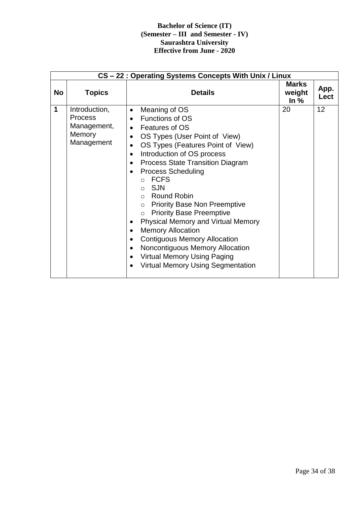|           | CS-22: Operating Systems Concepts With Unix / Linux                    |                                                                                                                                                                                                                                                                                                                                                                                                                                                                                                                                                                                                                                                                                                                                            |                                  |              |  |
|-----------|------------------------------------------------------------------------|--------------------------------------------------------------------------------------------------------------------------------------------------------------------------------------------------------------------------------------------------------------------------------------------------------------------------------------------------------------------------------------------------------------------------------------------------------------------------------------------------------------------------------------------------------------------------------------------------------------------------------------------------------------------------------------------------------------------------------------------|----------------------------------|--------------|--|
| <b>No</b> | <b>Topics</b>                                                          | <b>Details</b>                                                                                                                                                                                                                                                                                                                                                                                                                                                                                                                                                                                                                                                                                                                             | <b>Marks</b><br>weight<br>In $%$ | App.<br>Lect |  |
| 1         | Introduction,<br><b>Process</b><br>Management,<br>Memory<br>Management | Meaning of OS<br>$\bullet$<br>Functions of OS<br>• Features of OS<br>OS Types (User Point of View)<br>$\bullet$<br>OS Types (Features Point of View)<br>$\bullet$<br>Introduction of OS process<br>$\bullet$<br><b>Process State Transition Diagram</b><br>$\bullet$<br><b>Process Scheduling</b><br>o FCFS<br>$\circ$ SJN<br>$\circ$ Round Robin<br><b>Priority Base Non Preemptive</b><br>$\circ$<br><b>Priority Base Preemptive</b><br>$\circ$<br><b>Physical Memory and Virtual Memory</b><br><b>Memory Allocation</b><br>$\bullet$<br><b>Contiguous Memory Allocation</b><br>$\bullet$<br>Noncontiguous Memory Allocation<br>$\bullet$<br><b>Virtual Memory Using Paging</b><br>$\bullet$<br><b>Virtual Memory Using Segmentation</b> | 20                               | 12           |  |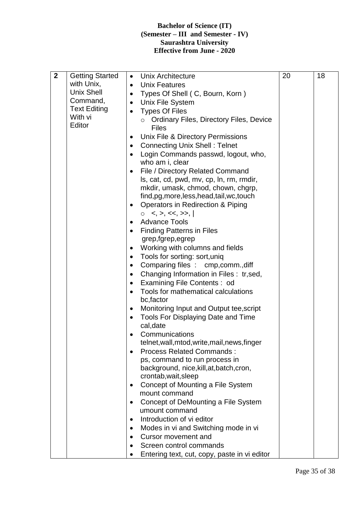| $\mathbf{2}$ | <b>Getting Started</b> | <b>Unix Architecture</b><br>$\bullet$                | 20 | 18 |
|--------------|------------------------|------------------------------------------------------|----|----|
|              | with Unix,             | <b>Unix Features</b><br>$\bullet$                    |    |    |
|              | <b>Unix Shell</b>      | Types Of Shell (C, Bourn, Korn)<br>$\bullet$         |    |    |
|              | Command,               | <b>Unix File System</b><br>$\bullet$                 |    |    |
|              | <b>Text Editing</b>    | <b>Types Of Files</b><br>$\bullet$                   |    |    |
|              | With vi                | o Ordinary Files, Directory Files, Device            |    |    |
|              | Editor                 | <b>Files</b>                                         |    |    |
|              |                        | Unix File & Directory Permissions                    |    |    |
|              |                        | <b>Connecting Unix Shell: Telnet</b><br>٠            |    |    |
|              |                        | Login Commands passwd, logout, who,                  |    |    |
|              |                        | who am i, clear                                      |    |    |
|              |                        | File / Directory Related Command                     |    |    |
|              |                        | Is, cat, cd, pwd, mv, cp, In, rm, rmdir,             |    |    |
|              |                        | mkdir, umask, chmod, chown, chgrp,                   |    |    |
|              |                        | find, pg, more, less, head, tail, wc, touch          |    |    |
|              |                        | Operators in Redirection & Piping<br>٠               |    |    |
|              |                        | $\lt,$ , $>$ , $\lt\lt,$ , $\gt$ ,  <br>$\circ$      |    |    |
|              |                        | <b>Advance Tools</b>                                 |    |    |
|              |                        | <b>Finding Patterns in Files</b>                     |    |    |
|              |                        | grep, fgrep, egrep                                   |    |    |
|              |                        | Working with columns and fields                      |    |    |
|              |                        | Tools for sorting: sort, uniq                        |    |    |
|              |                        | Comparing files : cmp, comm., diff<br>٠              |    |    |
|              |                        | Changing Information in Files : tr, sed,<br>٠        |    |    |
|              |                        | Examining File Contents : od<br>$\bullet$            |    |    |
|              |                        | Tools for mathematical calculations<br>$\bullet$     |    |    |
|              |                        | bc, factor                                           |    |    |
|              |                        | Monitoring Input and Output tee, script<br>$\bullet$ |    |    |
|              |                        | Tools For Displaying Date and Time<br>$\bullet$      |    |    |
|              |                        | cal, date                                            |    |    |
|              |                        | Communications<br>$\bullet$                          |    |    |
|              |                        | telnet, wall, mtod, write, mail, news, finger        |    |    |
|              |                        | <b>Process Related Commands:</b>                     |    |    |
|              |                        | ps, command to run process in                        |    |    |
|              |                        | background, nice, kill, at, batch, cron,             |    |    |
|              |                        | crontab, wait, sleep                                 |    |    |
|              |                        | Concept of Mounting a File System<br>٠               |    |    |
|              |                        | mount command                                        |    |    |
|              |                        | Concept of DeMounting a File System<br>٠             |    |    |
|              |                        | umount command                                       |    |    |
|              |                        | Introduction of vi editor<br>٠                       |    |    |
|              |                        | Modes in vi and Switching mode in vi<br>٠            |    |    |
|              |                        | <b>Cursor movement and</b><br>$\bullet$              |    |    |
|              |                        | Screen control commands                              |    |    |
|              |                        | Entering text, cut, copy, paste in vi editor         |    |    |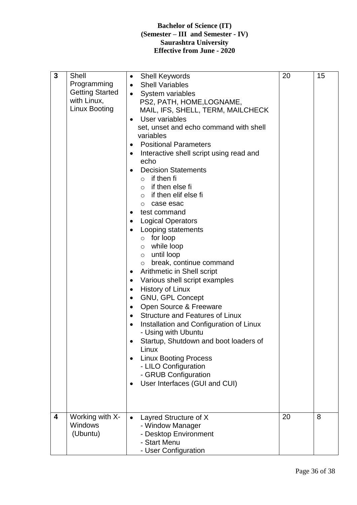| $\mathbf{3}$ | Shell<br>Programming<br><b>Getting Started</b><br>with Linux,<br><b>Linux Booting</b> | <b>Shell Keywords</b><br>$\bullet$<br><b>Shell Variables</b><br>$\bullet$<br>System variables<br>$\bullet$<br>PS2, PATH, HOME, LOGNAME,<br>MAIL, IFS, SHELL, TERM, MAILCHECK<br>User variables<br>$\bullet$<br>set, unset and echo command with shell<br>variables<br><b>Positional Parameters</b><br>٠<br>Interactive shell script using read and<br>echo<br><b>Decision Statements</b><br>$\circ$ if then fi<br>$\circ$ if then else fi<br>$\circ$ if then elif else fi<br>case esac<br>$\circ$<br>test command<br>$\bullet$<br><b>Logical Operators</b><br>Looping statements<br>$\circ$ for loop<br>while loop<br>$\circ$<br>until loop<br>$\circ$<br>break, continue command<br>$\circ$<br>Arithmetic in Shell script<br>Various shell script examples<br>٠<br><b>History of Linux</b><br>٠<br>GNU, GPL Concept<br>$\bullet$<br>Open Source & Freeware<br>٠<br><b>Structure and Features of Linux</b><br>Installation and Configuration of Linux<br>- Using with Ubuntu<br>Startup, Shutdown and boot loaders of<br>Linux<br><b>Linux Booting Process</b><br>- LILO Configuration<br>- GRUB Configuration<br>User Interfaces (GUI and CUI) | 20 | 15 |
|--------------|---------------------------------------------------------------------------------------|-------------------------------------------------------------------------------------------------------------------------------------------------------------------------------------------------------------------------------------------------------------------------------------------------------------------------------------------------------------------------------------------------------------------------------------------------------------------------------------------------------------------------------------------------------------------------------------------------------------------------------------------------------------------------------------------------------------------------------------------------------------------------------------------------------------------------------------------------------------------------------------------------------------------------------------------------------------------------------------------------------------------------------------------------------------------------------------------------------------------------------------------------|----|----|
|              |                                                                                       |                                                                                                                                                                                                                                                                                                                                                                                                                                                                                                                                                                                                                                                                                                                                                                                                                                                                                                                                                                                                                                                                                                                                                 |    |    |
| 4            | Working with X-<br><b>Windows</b><br>(Ubuntu)                                         | Layred Structure of X<br>- Window Manager<br>- Desktop Environment<br>- Start Menu<br>- User Configuration                                                                                                                                                                                                                                                                                                                                                                                                                                                                                                                                                                                                                                                                                                                                                                                                                                                                                                                                                                                                                                      | 20 | 8  |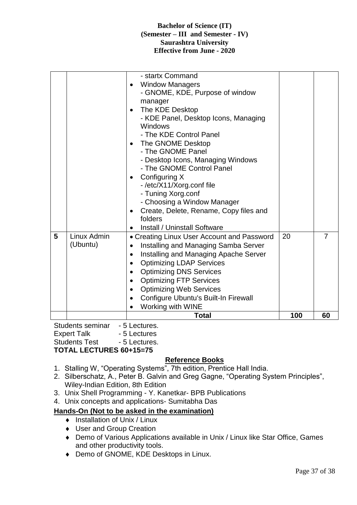|   |             | Configure Ubuntu's Built-In Firewall<br>Working with WINE<br>Total       | 100 | 60             |
|---|-------------|--------------------------------------------------------------------------|-----|----------------|
|   |             | <b>Optimizing Web Services</b>                                           |     |                |
|   |             | <b>Optimizing FTP Services</b>                                           |     |                |
|   |             | <b>Optimizing DNS Services</b><br>$\bullet$                              |     |                |
|   |             | Installing and Managing Apache Server<br><b>Optimizing LDAP Services</b> |     |                |
|   | (Ubuntu)    | Installing and Managing Samba Server<br>$\bullet$                        |     |                |
| 5 | Linux Admin | • Creating Linux User Account and Password                               | 20  | $\overline{7}$ |
|   |             | <b>Install / Uninstall Software</b>                                      |     |                |
|   |             | folders                                                                  |     |                |
|   |             | Create, Delete, Rename, Copy files and                                   |     |                |
|   |             | - Choosing a Window Manager                                              |     |                |
|   |             | - Tuning Xorg.conf                                                       |     |                |
|   |             | Configuring X<br>-/etc/X11/Xorg.conf file                                |     |                |
|   |             | - The GNOME Control Panel                                                |     |                |
|   |             | - Desktop Icons, Managing Windows                                        |     |                |
|   |             | - The GNOME Panel                                                        |     |                |
|   |             | The GNOME Desktop                                                        |     |                |
|   |             | - The KDE Control Panel                                                  |     |                |
|   |             | - KDE Panel, Desktop Icons, Managing<br>Windows                          |     |                |
|   |             | The KDE Desktop                                                          |     |                |
|   |             | manager                                                                  |     |                |
|   |             | - GNOME, KDE, Purpose of window                                          |     |                |
|   |             | <b>Window Managers</b>                                                   |     |                |
|   |             | - startx Command                                                         |     |                |

Students seminar - 5 Lectures. Expert Talk - 5 Lectures Students Test - 5 Lectures.

#### **TOTAL LECTURES 60+15=75**

#### **Reference Books**

- 1. Stalling W, "Operating Systems", 7th edition, Prentice Hall India.
- 2. Silberschatz, A., Peter B. Galvin and Greg Gagne, "Operating System Principles", Wiley-Indian Edition, 8th Edition
- 3. Unix Shell Programming Y. Kanetkar- BPB Publications
- 4. Unix concepts and applications- Sumitabha Das

#### **Hands-On (Not to be asked in the examination)**

- $\bullet$  Installation of Unix / Linux
- ◆ User and Group Creation
- Demo of Various Applications available in Unix / Linux like Star Office, Games and other productivity tools.
- ◆ Demo of GNOME, KDE Desktops in Linux.